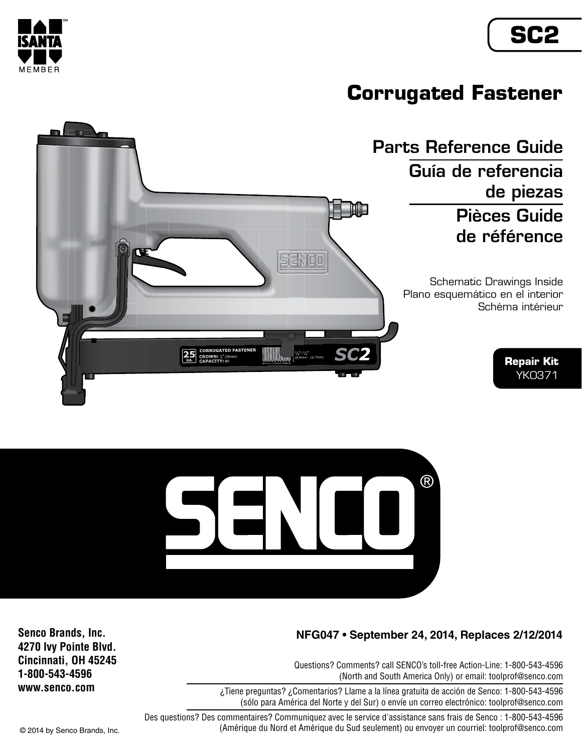## **SC2**



### **Corrugated Fastener**





### **NFG047 • September 24, 2014, Replaces 2/12/2014**

Questions? Comments? call SENCO's toll-free Action-Line: 1-800-543-4596 (North and South America Only) or email: toolprof@senco.com

¿Tiene preguntas? ¿Comentarios? Llame a la línea gratuita de acción de Senco: 1-800-543-4596 (sólo para América del Norte y del Sur) o envíe un correo electrónico: toolprof@senco.com

Des questions? Des commentaires? Communiquez avec le service d'assistance sans frais de Senco : 1-800-543-4596 © 2014 by Senco Brands, Inc. (Amérique du Nord et Amérique du Sud seulement) ou envoyer un courriel: toolprof@senco.com

**Senco Brands, Inc. 4270 Ivy Pointe Blvd. Cincinnati, OH 45245 1-800-543-4596 www.senco.com**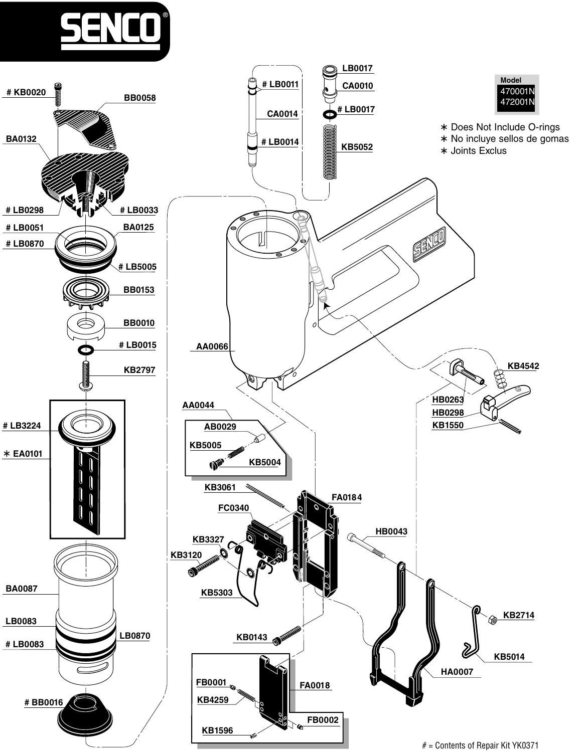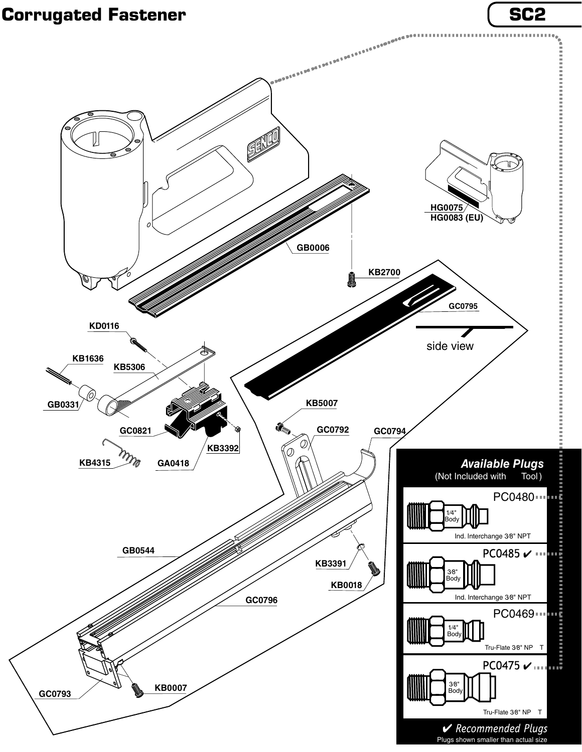